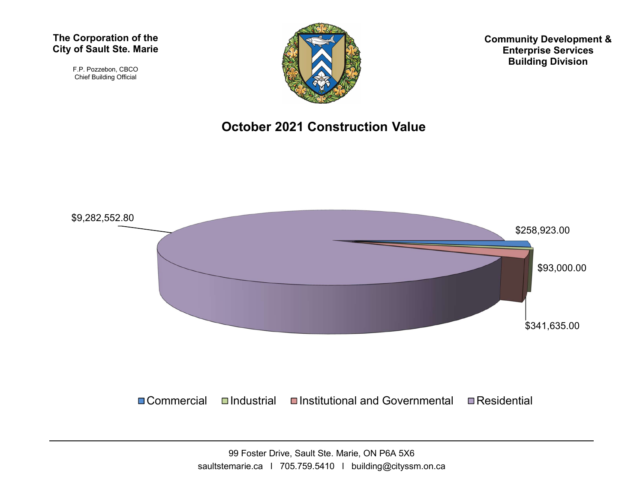#### The Corporation of the City of Sault Ste. Marie

F.P. Pozzebon, CBCO Chief Building Official



Community Development & Enterprise Services Building Division

### October 2021 Construction Value

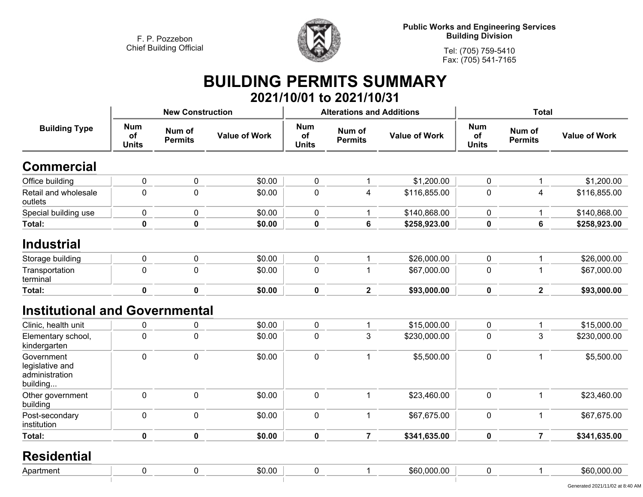

**Public Works and Engineering Services Building Division**

**Tel: (705) 759-5410 Fax: (705) 541-7165**

# **BUILDING PERMITS SUMMARY**

|                                                             |                                  |                          |                      |                                  | 2021/10/01 to 2021/10/31         |                      |                                  |                          |                      |  |
|-------------------------------------------------------------|----------------------------------|--------------------------|----------------------|----------------------------------|----------------------------------|----------------------|----------------------------------|--------------------------|----------------------|--|
|                                                             |                                  | <b>New Construction</b>  |                      |                                  | <b>Alterations and Additions</b> |                      | <b>Total</b>                     |                          |                      |  |
| <b>Building Type</b>                                        | <b>Num</b><br>of<br><b>Units</b> | Num of<br><b>Permits</b> | <b>Value of Work</b> | <b>Num</b><br>of<br><b>Units</b> | Num of<br><b>Permits</b>         | <b>Value of Work</b> | <b>Num</b><br>of<br><b>Units</b> | Num of<br><b>Permits</b> | <b>Value of Work</b> |  |
| <b>Commercial</b>                                           |                                  |                          |                      |                                  |                                  |                      |                                  |                          |                      |  |
| Office building                                             | $\pmb{0}$                        | 0                        | \$0.00               | $\pmb{0}$                        |                                  | \$1,200.00           | 0                                | $\mathbf{1}$             | \$1,200.00           |  |
| Retail and wholesale<br>outlets                             | $\pmb{0}$                        | $\mathbf 0$              | \$0.00               | $\pmb{0}$                        | 4                                | \$116,855.00         | 0                                | 4                        | \$116,855.00         |  |
| Special building use                                        | $\pmb{0}$                        | 0                        | \$0.00               | 0                                |                                  | \$140,868.00         | $\mathbf 0$                      | 1                        | \$140,868.00         |  |
| <b>Total:</b>                                               | $\mathbf 0$                      | $\mathbf 0$              | \$0.00               | $\pmb{0}$                        | 6                                | \$258,923.00         | 0                                | $\bf 6$                  | \$258,923.00         |  |
| <b>Industrial</b>                                           |                                  |                          |                      |                                  |                                  |                      |                                  |                          |                      |  |
| Storage building                                            | $\pmb{0}$                        | 0                        | \$0.00               | 0                                |                                  | \$26,000.00          | 0                                | $\mathbf 1$              | \$26,000.00          |  |
| Transportation<br>terminal                                  | $\mathbf 0$                      | $\mathbf 0$              | \$0.00               | $\pmb{0}$                        |                                  | \$67,000.00          | 0                                | $\mathbf 1$              | \$67,000.00          |  |
| <b>Total:</b>                                               | $\pmb{0}$                        | $\mathbf 0$              | \$0.00               | $\pmb{0}$                        | $\mathbf 2$                      | \$93,000.00          | $\mathbf 0$                      | $\overline{2}$           | \$93,000.00          |  |
| <b>Institutional and Governmental</b>                       |                                  |                          |                      |                                  |                                  |                      |                                  |                          |                      |  |
| Clinic, health unit                                         | 0                                | 0                        | \$0.00               | 0                                |                                  | \$15,000.00          | 0                                | 1                        | \$15,000.00          |  |
| Elementary school,<br>kindergarten                          | $\pmb{0}$                        | $\pmb{0}$                | \$0.00               | $\pmb{0}$                        | 3                                | \$230,000.00         | 0                                | 3                        | \$230,000.00         |  |
| Government<br>legislative and<br>administration<br>building | $\pmb{0}$                        | 0                        | \$0.00               | 0                                | $\mathbf{1}$                     | \$5,500.00           | $\mathbf 0$                      | 1                        | \$5,500.00           |  |
| Other government<br>building                                | $\pmb{0}$                        | $\pmb{0}$                | \$0.00               | $\pmb{0}$                        | 1                                | \$23,460.00          | $\pmb{0}$                        | $\mathbf 1$              | \$23,460.00          |  |
| Post-secondary<br>institution                               | $\pmb{0}$                        | 0                        | \$0.00               | $\pmb{0}$                        | 1                                | \$67,675.00          | 0                                | 1                        | \$67,675.00          |  |
| Total:                                                      | $\mathbf 0$                      | 0                        | \$0.00               | $\mathbf 0$                      | $\overline{7}$                   | \$341,635.00         | $\mathbf 0$                      | $\overline{7}$           | \$341,635.00         |  |

#### **Residential**

| Apa:<br>artme |  | $\sim$<br>-JU.U |  | $\cdots$<br><br>. .<br>hhl. |  | ৲г<br>. . <i>.</i> |
|---------------|--|-----------------|--|-----------------------------|--|--------------------|
|               |  |                 |  |                             |  |                    |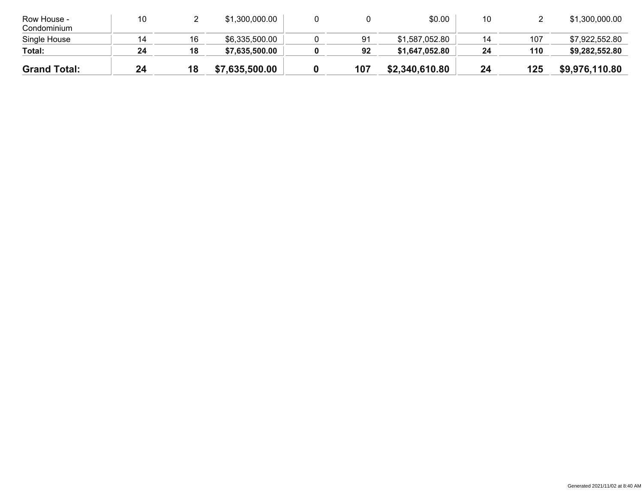| <b>Grand Total:</b>        | 24 | 18 | \$7,635,500.00 | 107 | \$2,340,610.80 | 24 | 125 | \$9,976,110.80 |
|----------------------------|----|----|----------------|-----|----------------|----|-----|----------------|
|                            |    |    |                |     |                |    |     |                |
| Total:                     | 24 | 18 | \$7,635,500.00 | 92  | \$1,647,052.80 | 24 | 110 | \$9,282,552.80 |
| Single House               | 14 | 16 | \$6,335,500.00 | 91  | \$1,587,052.80 | 14 | 107 | \$7,922,552.80 |
| Row House -<br>Condominium | 10 |    | \$1,300,000.00 |     | \$0.00         | 10 |     | \$1,300,000.00 |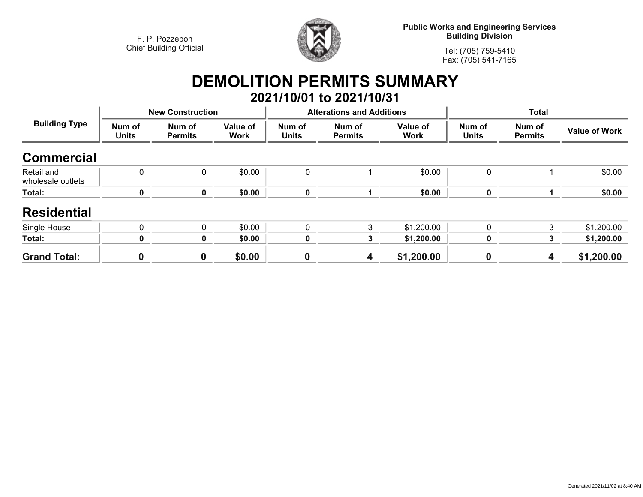

**Public Works and Engineering Services Building Division**

**Tel: (705) 759-5410Fax: (705) 541-7165**

## **DEMOLITION PERMITS SUMMARY 2021/10/01 to 2021/10/31**

| <b>Building Type</b>            |                        | <b>New Construction</b>  |                         |                        | <b>Alterations and Additions</b> |                         | <b>Total</b>           |                          |                      |
|---------------------------------|------------------------|--------------------------|-------------------------|------------------------|----------------------------------|-------------------------|------------------------|--------------------------|----------------------|
|                                 | Num of<br><b>Units</b> | Num of<br><b>Permits</b> | Value of<br><b>Work</b> | Num of<br><b>Units</b> | Num of<br><b>Permits</b>         | Value of<br><b>Work</b> | Num of<br><b>Units</b> | Num of<br><b>Permits</b> | <b>Value of Work</b> |
| <b>Commercial</b>               |                        |                          |                         |                        |                                  |                         |                        |                          |                      |
| Retail and<br>wholesale outlets | 0                      | 0                        | \$0.00                  | 0                      |                                  | \$0.00                  | 0                      |                          | \$0.00               |
| Total:                          | 0                      | 0                        | \$0.00                  | 0                      |                                  | \$0.00                  | $\mathbf 0$            |                          | \$0.00               |
| <b>Residential</b>              |                        |                          |                         |                        |                                  |                         |                        |                          |                      |
| Single House                    | $\mathbf{0}$           | 0                        | \$0.00                  | $\mathbf 0$            | 3                                | \$1,200.00              | $\mathbf{0}$           | 3                        | \$1,200.00           |
| Total:                          | 0                      | 0                        | \$0.00                  | 0                      | 3                                | \$1,200.00              | $\mathbf 0$            | 3                        | \$1,200.00           |
| <b>Grand Total:</b>             | $\boldsymbol{0}$       | $\boldsymbol{0}$         | \$0.00                  | $\boldsymbol{0}$       | 4                                | \$1,200.00              | $\mathbf 0$            | 4                        | \$1,200.00           |